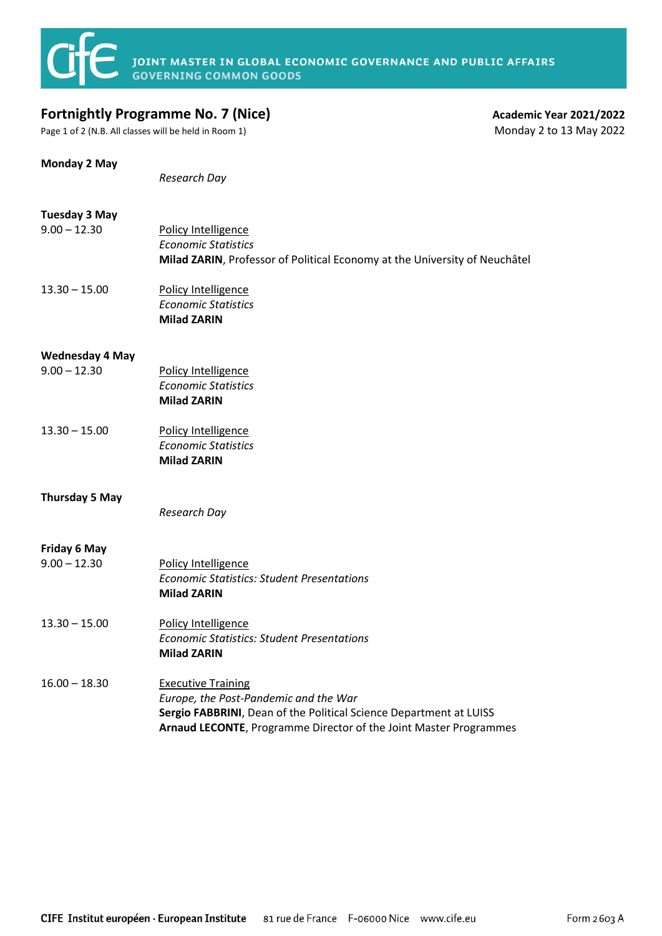## **Fortnightly Programme No. 7 (Nice)**<br>
Page 1 of 2 (N.B. All classes will be held in Room 1)<br>
Monday 2 to 13 May 2022

Page 1 of 2 (N.B. All classes will be held in Room 1)

| Monday 2 May                             | Research Day                                                                                                                                                                                                  |
|------------------------------------------|---------------------------------------------------------------------------------------------------------------------------------------------------------------------------------------------------------------|
| <b>Tuesday 3 May</b><br>$9.00 - 12.30$   | Policy Intelligence<br><b>Economic Statistics</b><br>Milad ZARIN, Professor of Political Economy at the University of Neuchâtel                                                                               |
| $13.30 - 15.00$                          | Policy Intelligence<br><b>Economic Statistics</b><br><b>Milad ZARIN</b>                                                                                                                                       |
| <b>Wednesday 4 May</b><br>$9.00 - 12.30$ | Policy Intelligence<br><b>Economic Statistics</b><br><b>Milad ZARIN</b>                                                                                                                                       |
| $13.30 - 15.00$                          | Policy Intelligence<br><b>Economic Statistics</b><br><b>Milad ZARIN</b>                                                                                                                                       |
| <b>Thursday 5 May</b>                    | Research Day                                                                                                                                                                                                  |
| <b>Friday 6 May</b><br>$9.00 - 12.30$    | Policy Intelligence<br><b>Economic Statistics: Student Presentations</b><br><b>Milad ZARIN</b>                                                                                                                |
| $13.30 - 15.00$                          | Policy Intelligence<br><b>Economic Statistics: Student Presentations</b><br><b>Milad ZARIN</b>                                                                                                                |
| $16.00 - 18.30$                          | <b>Executive Training</b><br>Europe, the Post-Pandemic and the War<br>Sergio FABBRINI, Dean of the Political Science Department at LUISS<br>Arnaud LECONTE, Programme Director of the Joint Master Programmes |